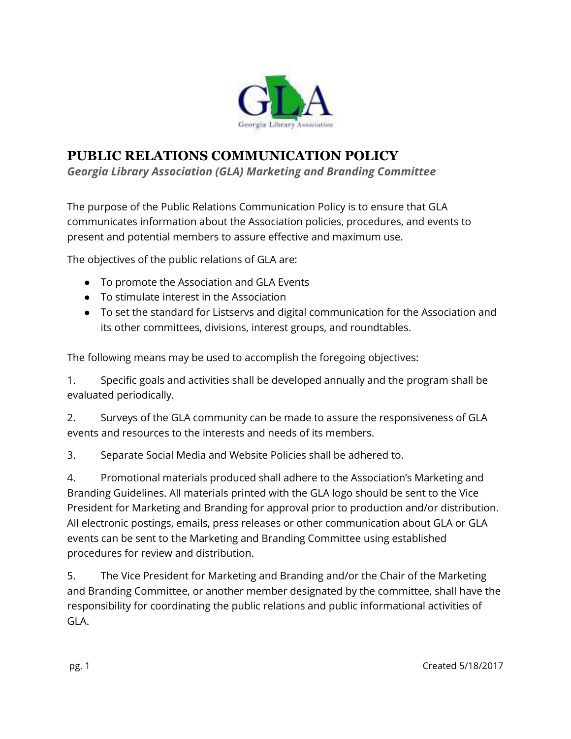

## **PUBLIC RELATIONS COMMUNICATION POLICY**

*Georgia Library Association (GLA) Marketing and Branding Committee* 

The purpose of the Public Relations Communication Policy is to ensure that GLA communicates information about the Association policies, procedures, and events to present and potential members to assure effective and maximum use.

The objectives of the public relations of GLA are:

- To promote the Association and GLA Events
- To stimulate interest in the Association
- To set the standard for Listservs and digital communication for the Association and its other committees, divisions, interest groups, and roundtables.

The following means may be used to accomplish the foregoing objectives:

1. Specific goals and activities shall be developed annually and the program shall be evaluated periodically.

2. Surveys of the GLA community can be made to assure the responsiveness of GLA events and resources to the interests and needs of its members.

3. Separate Social Media and Website Policies shall be adhered to.

4. Promotional materials produced shall adhere to the Association's Marketing and Branding Guidelines. All materials printed with the GLA logo should be sent to the Vice President for Marketing and Branding for approval prior to production and/or distribution. All electronic postings, emails, press releases or other communication about GLA or GLA events can be sent to the Marketing and Branding Committee using established procedures for review and distribution.

5. The Vice President for Marketing and Branding and/or the Chair of the Marketing and Branding Committee, or another member designated by the committee, shall have the responsibility for coordinating the public relations and public informational activities of GLA.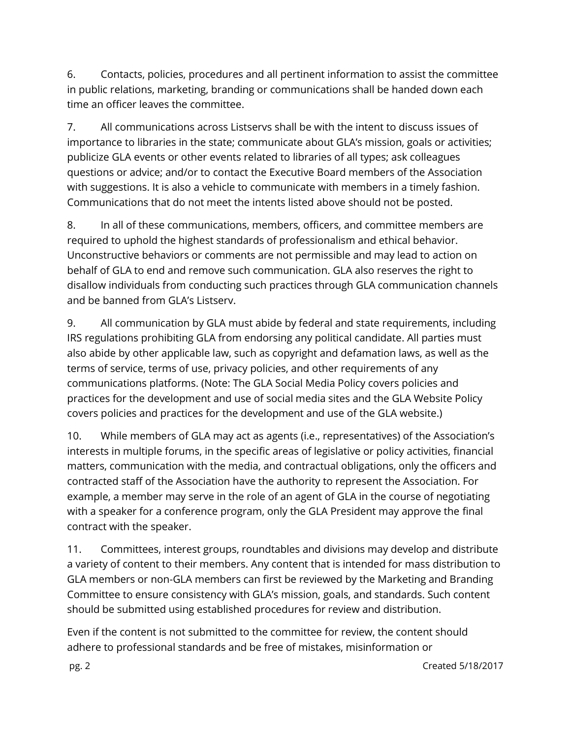6. Contacts, policies, procedures and all pertinent information to assist the committee in public relations, marketing, branding or communications shall be handed down each time an officer leaves the committee.

7. All communications across Listservs shall be with the intent to discuss issues of importance to libraries in the state; communicate about GLA's mission, goals or activities; publicize GLA events or other events related to libraries of all types; ask colleagues questions or advice; and/or to contact the Executive Board members of the Association with suggestions. It is also a vehicle to communicate with members in a timely fashion. Communications that do not meet the intents listed above should not be posted.

8. In all of these communications, members, officers, and committee members are required to uphold the highest standards of professionalism and ethical behavior. Unconstructive behaviors or comments are not permissible and may lead to action on behalf of GLA to end and remove such communication. GLA also reserves the right to disallow individuals from conducting such practices through GLA communication channels and be banned from GLA's Listserv.

9. All communication by GLA must abide by federal and state requirements, including IRS regulations prohibiting GLA from endorsing any political candidate. All parties must also abide by other applicable law, such as copyright and defamation laws, as well as the terms of service, terms of use, privacy policies, and other requirements of any communications platforms. (Note: The GLA Social Media Policy covers policies and practices for the development and use of social media sites and the GLA Website Policy covers policies and practices for the development and use of the GLA website.)

10. While members of GLA may act as agents (i.e., representatives) of the Association's interests in multiple forums, in the specific areas of legislative or policy activities, financial matters, communication with the media, and contractual obligations, only the officers and contracted staff of the Association have the authority to represent the Association. For example, a member may serve in the role of an agent of GLA in the course of negotiating with a speaker for a conference program, only the GLA President may approve the final contract with the speaker.

11. Committees, interest groups, roundtables and divisions may develop and distribute a variety of content to their members. Any content that is intended for mass distribution to GLA members or non-GLA members can first be reviewed by the Marketing and Branding Committee to ensure consistency with GLA's mission, goals, and standards. Such content should be submitted using established procedures for review and distribution.

Even if the content is not submitted to the committee for review, the content should adhere to professional standards and be free of mistakes, misinformation or